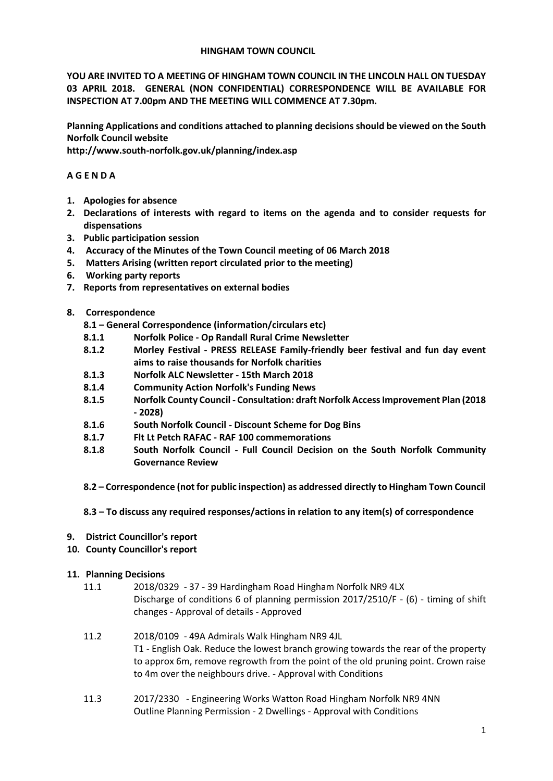## **HINGHAM TOWN COUNCIL**

**YOU ARE INVITED TO A MEETING OF HINGHAM TOWN COUNCIL IN THE LINCOLN HALL ON TUESDAY 03 APRIL 2018. GENERAL (NON CONFIDENTIAL) CORRESPONDENCE WILL BE AVAILABLE FOR INSPECTION AT 7.00pm AND THE MEETING WILL COMMENCE AT 7.30pm.** 

**Planning Applications and conditions attached to planning decisions should be viewed on the South Norfolk Council website** 

**http://www.south-norfolk.gov.uk/planning/index.asp**

# **A G E N D A**

- **1. Apologies for absence**
- **2. Declarations of interests with regard to items on the agenda and to consider requests for dispensations**
- **3. Public participation session**
- **4. Accuracy of the Minutes of the Town Council meeting of 06 March 2018**
- **5. Matters Arising (written report circulated prior to the meeting)**
- **6. Working party reports**
- **7. Reports from representatives on external bodies**
- **8. Correspondence** 
	- **8.1 – General Correspondence (information/circulars etc)**
	- **8.1.1 Norfolk Police - Op Randall Rural Crime Newsletter**
	- **8.1.2 Morley Festival - PRESS RELEASE Family-friendly beer festival and fun day event aims to raise thousands for Norfolk charities**
	- **8.1.3 Norfolk ALC Newsletter - 15th March 2018**
	- **8.1.4 Community Action Norfolk's Funding News**
	- **8.1.5 Norfolk County Council - Consultation: draft Norfolk Access Improvement Plan (2018 - 2028)**
	- **8.1.6 South Norfolk Council - Discount Scheme for Dog Bins**
	- **8.1.7 Flt Lt Petch RAFAC - RAF 100 commemorations**
	- **8.1.8 South Norfolk Council - Full Council Decision on the South Norfolk Community Governance Review**
	- **8.2 – Correspondence (not for public inspection) as addressed directly to Hingham Town Council**
	- **8.3 – To discuss any required responses/actions in relation to any item(s) of correspondence**
- **9. District Councillor's report**
- **10. County Councillor's report**

## **11. Planning Decisions**

- 11.1 2018/0329 37 39 Hardingham Road Hingham Norfolk NR9 4LX Discharge of conditions 6 of planning permission 2017/2510/F - (6) - timing of shift changes - Approval of details - Approved
- 11.2 2018/0109 49A Admirals Walk Hingham NR9 4JL T1 - English Oak. Reduce the lowest branch growing towards the rear of the property to approx 6m, remove regrowth from the point of the old pruning point. Crown raise to 4m over the neighbours drive. - Approval with Conditions
- 11.3 2017/2330 Engineering Works Watton Road Hingham Norfolk NR9 4NN Outline Planning Permission - 2 Dwellings - Approval with Conditions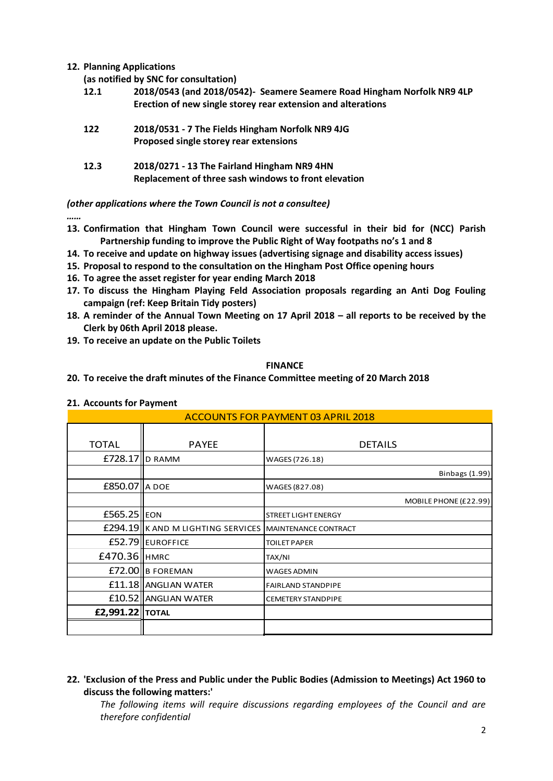**12. Planning Applications** 

**(as notified by SNC for consultation)**

**12.1 2018/0543 (and 2018/0542)- Seamere Seamere Road Hingham Norfolk NR9 4LP Erection of new single storey rear extension and alterations** 

| 122 | 2018/0531 - 7 The Fields Hingham Norfolk NR9 4JG |
|-----|--------------------------------------------------|
|     | Proposed single storey rear extensions           |

**12.3 2018/0271 - 13 The Fairland Hingham NR9 4HN Replacement of three sash windows to front elevation**

*(other applications where the Town Council is not a consultee)*

- *……* **13. Confirmation that Hingham Town Council were successful in their bid for (NCC) Parish Partnership funding to improve the Public Right of Way footpaths no's 1 and 8**
- **14. To receive and update on highway issues (advertising signage and disability access issues)**
- **15. Proposal to respond to the consultation on the Hingham Post Office opening hours**
- **16. To agree the asset register for year ending March 2018**
- **17. To discuss the Hingham Playing Feld Association proposals regarding an Anti Dog Fouling campaign (ref: Keep Britain Tidy posters)**
- **18. A reminder of the Annual Town Meeting on 17 April 2018 – all reports to be received by the Clerk by 06th April 2018 please.**
- **19. To receive an update on the Public Toilets**

## **FINANCE**

**20. To receive the draft minutes of the Finance Committee meeting of 20 March 2018**

## **21. Accounts for Payment**

| <b>ACCOUNTS FOR PAYMENT 03 APRIL 2018</b> |                                   |                             |  |
|-------------------------------------------|-----------------------------------|-----------------------------|--|
| <b>TOTAL</b>                              | <b>PAYEE</b>                      | <b>DETAILS</b>              |  |
| $E728.17$ IID RAMM                        |                                   | WAGES (726.18)              |  |
|                                           |                                   | Binbags (1.99)              |  |
| <b>£850.07 A</b> DOE                      |                                   | WAGES (827.08)              |  |
|                                           |                                   | MOBILE PHONE (£22.99)       |  |
| £565.25 EON                               |                                   | <b>STREET LIGHT ENERGY</b>  |  |
|                                           | £294.19 K AND M LIGHTING SERVICES | <b>MAINTENANCE CONTRACT</b> |  |
|                                           | £52.79 EUROFFICE                  | <b>TOILET PAPER</b>         |  |
| £470.36   HMRC                            |                                   | TAX/NI                      |  |
|                                           | £72.00 B FOREMAN                  | <b>WAGES ADMIN</b>          |  |
|                                           | £11.18 ANGLIAN WATER              | <b>FAIRLAND STANDPIPE</b>   |  |
|                                           | £10.52 ANGLIAN WATER              | <b>CEMETERY STANDPIPE</b>   |  |
| <b>£2,991.22 TOTAL</b>                    |                                   |                             |  |
|                                           |                                   |                             |  |

# **22. 'Exclusion of the Press and Public under the Public Bodies (Admission to Meetings) Act 1960 to discuss the following matters:'**

*The following items will require discussions regarding employees of the Council and are therefore confidential*